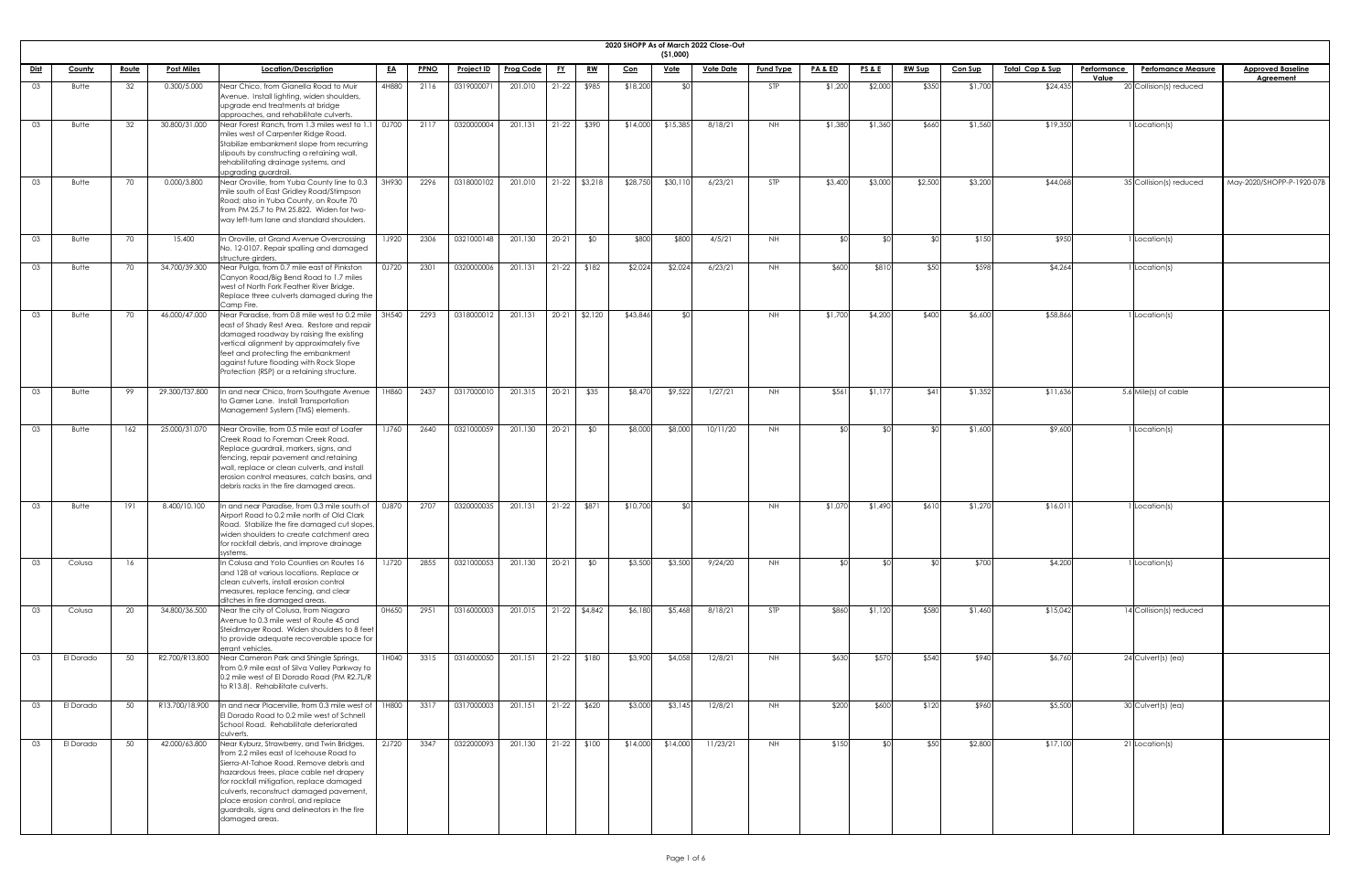|             | 2020 SHOPP As of March 2022 Close-Out<br>( \$1,000)<br>Location/Description<br><b>PPNO</b><br><b>Prog Code</b><br><u>Vote Date</u><br><b>PA &amp; ED</b><br><b>PS&amp;E</b><br><b>RW Sup</b><br><u> Total Cap &amp; Sup</u><br><b>Performance</b><br><b>Approved Baseline</b><br><b>County</b><br><u>Route</u><br><b>Post Miles</b><br><u>EA</u><br><b>Project ID</b><br><u>FY</u><br><u>RW</u><br><u>Vote</u><br><b>Fund Type</b><br><b>Con Sup</b><br><b>Perfomance Measure</b><br><u>Con</u><br>Value<br><b>Agreement</b> |     |                |                                                                                                                                                                                                                                                                                                                                                                              |              |      |            |                         |           |                 |          |          |          |            |         |         |         |         |          |                         |                           |
|-------------|------------------------------------------------------------------------------------------------------------------------------------------------------------------------------------------------------------------------------------------------------------------------------------------------------------------------------------------------------------------------------------------------------------------------------------------------------------------------------------------------------------------------------|-----|----------------|------------------------------------------------------------------------------------------------------------------------------------------------------------------------------------------------------------------------------------------------------------------------------------------------------------------------------------------------------------------------------|--------------|------|------------|-------------------------|-----------|-----------------|----------|----------|----------|------------|---------|---------|---------|---------|----------|-------------------------|---------------------------|
| <u>Dist</u> |                                                                                                                                                                                                                                                                                                                                                                                                                                                                                                                              |     |                |                                                                                                                                                                                                                                                                                                                                                                              |              |      |            |                         |           |                 |          |          |          |            |         |         |         |         |          |                         |                           |
| 03          | Butte                                                                                                                                                                                                                                                                                                                                                                                                                                                                                                                        | 32  | 0.300/5.000    | Near Chico, from Gianella Road to Muir                                                                                                                                                                                                                                                                                                                                       | 4H880        | 2116 | 0319000071 | 201.010                 | $21-22$   | \$985           | \$18,200 |          |          | STP        | \$1,200 | \$2,000 | \$350   | \$1,700 | \$24,435 | 20 Collision(s) reduced |                           |
|             |                                                                                                                                                                                                                                                                                                                                                                                                                                                                                                                              |     |                | Avenue. Install lighting, widen shoulders,<br>upgrade end treatments at bridge<br>approaches, and rehabilitate culverts.                                                                                                                                                                                                                                                     |              |      |            |                         |           |                 |          |          |          |            |         |         |         |         |          |                         |                           |
| 03          | <b>Butte</b>                                                                                                                                                                                                                                                                                                                                                                                                                                                                                                                 | 32  | 30.800/31.000  | Near Forest Ranch, from 1.3 miles west to 1.1<br>miles west of Carpenter Ridge Road.<br>Stabilize embankment slope from recurring<br>slipouts by constructing a retaining wall,<br>rehabilitating drainage systems, and                                                                                                                                                      | 0J700        | 2117 | 0320000004 | 201.131                 |           | $21-22$ \$390   | \$14,000 | \$15,385 | 8/18/21  | NH .       | \$1,380 | \$1,360 | \$660   | \$1,560 | \$19,350 | Location(s)             |                           |
| 03          | Butte                                                                                                                                                                                                                                                                                                                                                                                                                                                                                                                        | 70  | 0.000/3.800    | upgrading guardrail.<br>Near Oroville, from Yuba County line to 0.3<br>mile south of East Gridley Road/Stimpson<br>Road; also in Yuba County, on Route 70<br>from PM 25.7 to PM 25.822. Widen for two-<br>way left-turn lane and standard shoulders.                                                                                                                         | 3H930        | 2296 | 0318000102 | 201.010                 |           | 21-22 \$3,218   | \$28,750 | \$30,110 | 6/23/21  | <b>STP</b> | \$3,400 | \$3,000 | \$2,500 | \$3,200 | \$44,068 | 35 Collision(s) reduced | May-2020/SHOPP-P-1920-07B |
| 03          | <b>Butte</b>                                                                                                                                                                                                                                                                                                                                                                                                                                                                                                                 | 70  | 15.400         | In Oroville, at Grand Avenue Overcrossing<br>No. 12-0107. Repair spalling and damaged<br>structure girders.                                                                                                                                                                                                                                                                  | <b>1J920</b> | 2306 | 0321000148 | 201.130                 | $20 - 21$ | \$0             | \$800    | \$800    | 4/5/21   | NH.        | ≮∩।     |         |         | \$150   | \$950    | Location(s)             |                           |
| 03          | Butte                                                                                                                                                                                                                                                                                                                                                                                                                                                                                                                        | 70  | 34.700/39.300  | Near Pulga, from 0.7 mile east of Pinkston<br>Canyon Road/Big Bend Road to 1.7 miles<br>west of North Fork Feather River Bridge.<br>Replace three culverts damaged during the<br>Camp Fire.                                                                                                                                                                                  | 0J720        | 2301 | 0320000006 | 201.131                 | $21-22$   | \$182           | \$2,024  | \$2,024  | 6/23/21  | NH .       | \$600   | \$810   | \$50    | \$598   | \$4,264  | I Location(s)           |                           |
| 03          | Butte                                                                                                                                                                                                                                                                                                                                                                                                                                                                                                                        | 70  | 46.000/47.000  | Near Paradise, from 0.8 mile west to 0.2 mile   3H540<br>east of Shady Rest Area. Restore and repair<br>damaged roadway by raising the existing<br>vertical alignment by approximately five<br>feet and protecting the embankment<br>against future flooding with Rock Slope<br>Protection (RSP) or a retaining structure.                                                   |              | 2293 | 0318000012 | 201.131                 |           | 20-21 \$2,120   | \$43,846 |          |          | NH.        | \$1,700 | \$4,200 | \$400   | \$6,600 | \$58,866 | Location(s)             |                           |
| 03          | Butte                                                                                                                                                                                                                                                                                                                                                                                                                                                                                                                        | 99  | 29.300/T37.800 | In and near Chico, from Southgate Avenue<br>to Garner Lane. Install Transportation<br>Management System (TMS) elements.                                                                                                                                                                                                                                                      | 1H860        | 2437 | 0317000010 | 201.315                 | $20-21$   | \$35            | \$8,470  | \$9,522  | 1/27/21  | NH         | \$561   | \$1,177 | \$41    | \$1,352 | \$11,636 | 5.6 Mile(s) of cable    |                           |
| 03          | Butte                                                                                                                                                                                                                                                                                                                                                                                                                                                                                                                        | 162 | 25.000/31.070  | Near Oroville, from 0.5 mile east of Loafer<br>Creek Road to Foreman Creek Road.<br>Replace guardrail, markers, signs, and<br>fencing, repair pavement and retaining<br>wall, replace or clean culverts, and install<br>erosion control measures, catch basins, and<br>debris racks in the fire damaged areas.                                                               | <b>1J760</b> | 2640 | 0321000059 | 201.130                 | $20-21$   | \$0             | \$8,000  | \$8,000  | 10/11/20 | NH         | ≮∩I     |         |         | \$1,600 | \$9,600  | I Location(s)           |                           |
| 03          | Butte                                                                                                                                                                                                                                                                                                                                                                                                                                                                                                                        | 191 | 8.400/10.100   | In and near Paradise, from 0.3 mile south of<br>Airport Road to 0.2 mile north of Old Clark<br>Road. Stabilize the fire damaged cut slopes,<br>widen shoulders to create catchment area<br>for rockfall debris, and improve drainage<br>systems.                                                                                                                             | 0J870        | 2707 | 0320000035 | 201.131                 |           | $21-22$ \$871   | \$10,700 |          |          | NH         | \$1,070 | \$1,490 | \$610   | \$1,270 | \$16,01  | Location(s)             |                           |
| 03          | Colusa                                                                                                                                                                                                                                                                                                                                                                                                                                                                                                                       | 16  |                | In Colusa and Yolo Counties on Routes 16<br>and 128 at various locations. Replace or<br>clean culverts, install erosion control<br>measures, replace fencing, and clear<br>ditches in fire damaged areas.                                                                                                                                                                    | <b>1J720</b> | 2855 | 0321000053 | 201.130                 | $20-21$   | \$0             | \$3,500  | \$3,500  | 9/24/20  | NH .       | ו∩⊅     |         |         | \$700   | \$4,200  | I Location(s)           |                           |
| 03.         | Colusa                                                                                                                                                                                                                                                                                                                                                                                                                                                                                                                       | 20  | 34.800/36.500  | Near the city of Colusa, from Niagara<br>Avenue to 0.3 mile west of Route 45 and<br>Steidlmayer Road. Widen shoulders to 8 feet<br>to provide adequate recoverable space for<br>errant vehicles.                                                                                                                                                                             | 0H650        | 2951 | 0316000003 | 201.015                 |           | $21-22$ \$4,842 | \$6,180  | \$5,468  | 8/18/21  | STP        | \$860   | \$1,120 | \$580   | \$1,460 | \$15,042 | 14 Collision(s) reduced |                           |
|             | El Dorado                                                                                                                                                                                                                                                                                                                                                                                                                                                                                                                    | 50  | R2.700/R13.800 | Near Cameron Park and Shingle Springs,<br>from 0.9 mile east of Silva Valley Parkway to<br>0.2 mile west of El Dorado Road (PM R2.7L/R<br>to R13.8). Rehabilitate culverts.                                                                                                                                                                                                  | 1H040        | 3315 | 0316000050 | 201.151                 |           | $21-22$ \$180   | \$3,900  | \$4,058  | 12/8/21  | NH .       | \$630   | \$57C   | \$540   | \$940   | \$6,760  | $24$ Culvert(s) (ea)    |                           |
| 03          | El Dorado                                                                                                                                                                                                                                                                                                                                                                                                                                                                                                                    | 50  |                | R13.700/18.900 $\vert$ In and near Placerville, from 0.3 mile west of $\vert$ 1H800<br>El Dorado Road to 0.2 mile west of Schnell<br>School Road. Rehabilitate deteriorated<br>culverts.                                                                                                                                                                                     |              | 3317 | 0317000003 | 201.151                 |           | 21-22 \$620     | \$3,000  | \$3,145  | 12/8/21  | NH .       | \$200   | \$600   | \$120   | \$960   | \$5,500  | 30 Culvert(s) (ea)      |                           |
| 03          | El Dorado                                                                                                                                                                                                                                                                                                                                                                                                                                                                                                                    | 50  | 42.000/63.800  | Near Kyburz, Strawberry, and Twin Bridges,<br>from 2.2 miles east of Icehouse Road to<br>Sierra-At-Tahoe Road. Remove debris and<br>hazardous trees, place cable net drapery<br>for rockfall mitigation, replace damaged<br>culverts, reconstruct damaged pavement,<br>place erosion control, and replace<br>guardrails, signs and delineators in the fire<br>damaged areas. | 2J720        | 3347 | 0322000093 | 201.130   21-22   \$100 |           |                 | \$14,000 | \$14,000 | 11/23/21 | NH         | \$150   |         | \$50    | \$2,800 | \$17,100 | 21 Location(s)          |                           |

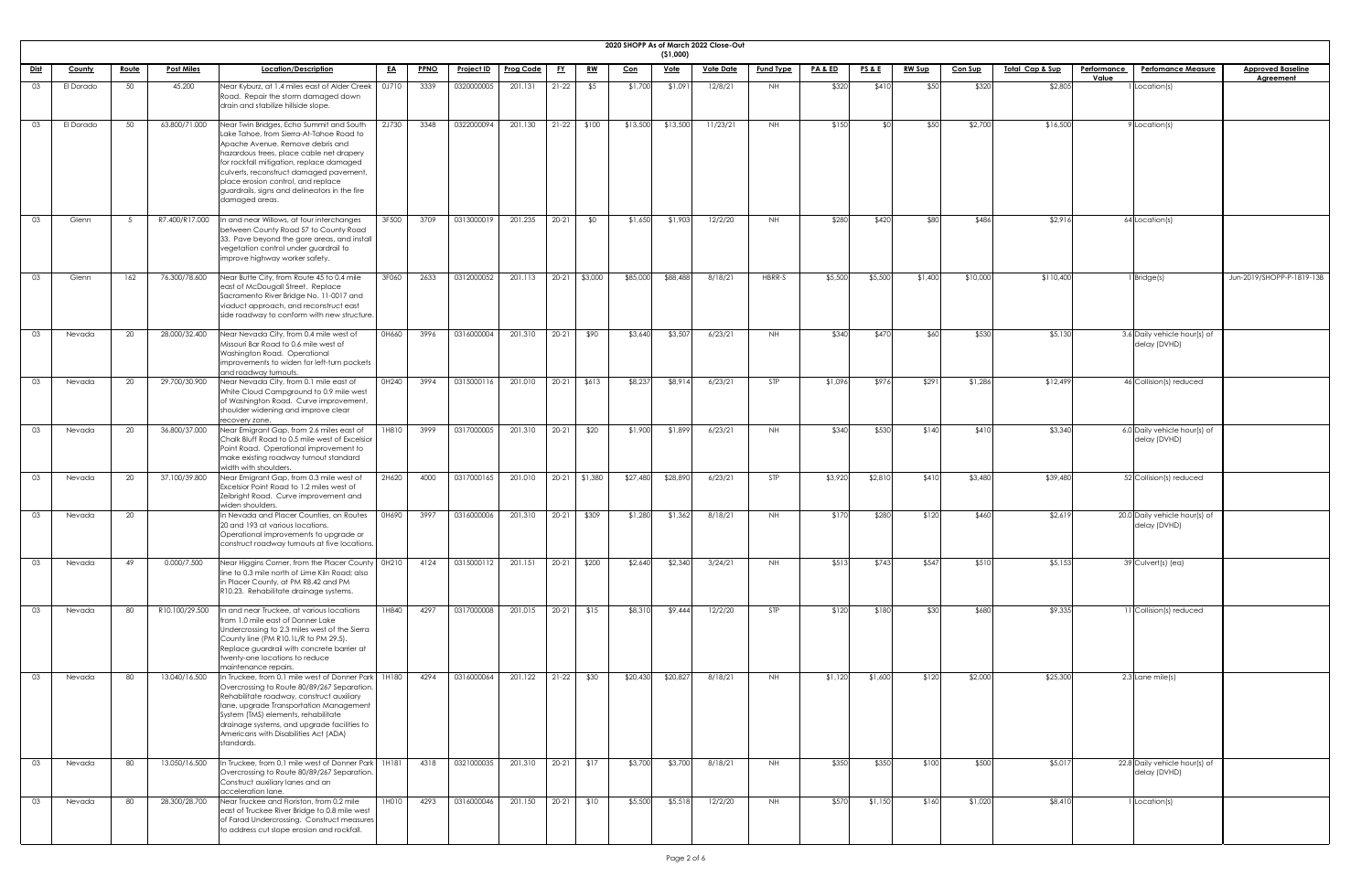| <b>2020 SHOPI</b> |  |
|-------------------|--|

|             |           |              |                   |                                                                                                                                                                                                                                                                                                                                                                      |           |             |                   |                  |           |               |            |                           | 2020 SHOPP As of March 2022 Close-Out |                  |                    |                 |               |                |                            |                    |                                               |                           |
|-------------|-----------|--------------|-------------------|----------------------------------------------------------------------------------------------------------------------------------------------------------------------------------------------------------------------------------------------------------------------------------------------------------------------------------------------------------------------|-----------|-------------|-------------------|------------------|-----------|---------------|------------|---------------------------|---------------------------------------|------------------|--------------------|-----------------|---------------|----------------|----------------------------|--------------------|-----------------------------------------------|---------------------------|
|             | County    | <u>Route</u> | <b>Post Miles</b> | Location/Description                                                                                                                                                                                                                                                                                                                                                 | <u>EA</u> | <b>PPNO</b> | <u>Project ID</u> | <b>Prog Code</b> | <u>FY</u> | <u>RW</u>     |            | ( \$1,000)<br><u>Vote</u> | <u>Vote Date</u>                      | <b>Fund Type</b> | <u>PA &amp; ED</u> | <b>PS&amp;E</b> | <b>RW Sup</b> | <b>Con Sup</b> | <u>Total Cap &amp; Sup</u> | <b>Performance</b> | <b>Perfomance Measure</b>                     | <b>Approved Baseline</b>  |
| <u>Dist</u> |           |              |                   |                                                                                                                                                                                                                                                                                                                                                                      |           |             |                   |                  |           |               | <u>Con</u> |                           |                                       |                  |                    |                 |               |                |                            | Value              |                                               | <b>Agreement</b>          |
| 03          | El Dorado | 50           | 45.200            | Near Kyburz, at 1.4 miles east of Alder Creek<br>Road. Repair the storm damaged down<br>drain and stabilize hillside slope.                                                                                                                                                                                                                                          | 0J710     | 3339        | 0320000005        | 201.131          | $21-22$   | \$5           | \$1,700    | \$1,091                   | 12/8/21                               | NH               | \$320              | \$410           | \$50          | \$320          | \$2,805                    |                    | Location(s)                                   |                           |
| 03          | El Dorado | 50           | 63.800/71.000     | Near Twin Bridges, Echo Summit and South<br>Lake Tahoe, from Sierra-At-Tahoe Road to<br>Apache Avenue. Remove debris and<br>hazardous trees, place cable net drapery<br>for rockfall mitigation, replace damaged<br>culverts, reconstruct damaged pavement,<br>place erosion control, and replace<br>guardrails, signs and delineators in the fire<br>damaged areas. | 2J730     | 3348        | 0322000094        | 201.130          |           | $21-22$ \$100 | \$13,500   | \$13,500                  | 11/23/21                              | NH .             | \$150              |                 | \$50          | \$2,700        | \$16,500                   |                    | Location(s)                                   |                           |
| 03          | Glenn     | - 5          | R7.400/R17.000    | In and near Willows, at four interchanges<br>between County Road 57 to County Road<br>33. Pave beyond the gore areas, and install<br>vegetation control under guardrail to<br>improve highway worker safety.                                                                                                                                                         | 3F500     | 3709        | 0313000019        | 201.235          | $20-21$   | \$0           | \$1,650    | \$1,903                   | 12/2/20                               | NH               | \$280              | \$420           | \$80          | \$486          | \$2,916                    |                    | $64$ Location(s)                              |                           |
| 03          | Glenn     | 162          | 76.300/78.600     | Near Butte City, from Route 45 to 0.4 mile<br>east of McDougall Street. Replace<br>Sacramento River Bridge No. 11-0017 and<br>viaduct approach, and reconstruct east<br>side roadway to conform with new structure                                                                                                                                                   | 3F060     | 2633        | 0312000052        | 201.113          |           | 20-21 \$3,000 | \$85,000   | \$88,488                  | 8/18/21                               | HBRR-S           | \$5,500            | \$5,500         | \$1,400       | \$10,000       | \$110,400                  |                    | Bridge(s)                                     | Jun-2019/SHOPP-P-1819-13B |
| 03          | Nevada    | 20           | 28.000/32.400     | Near Nevada City, from 0.4 mile west of<br>Missouri Bar Road to 0.6 mile west of<br>Washington Road. Operational<br>improvements to widen for left-turn pockets<br>and roadway turnouts.                                                                                                                                                                             | 0H660     | 3996        | 0316000004        | 201.310          |           | 20-21 \$90    | \$3,640    | \$3,507                   | 6/23/21                               | NH               | \$340              | \$470           | <b>560</b>    | \$530          | \$5,130                    |                    | 3.6 Daily vehicle hour(s) of<br>delay (DVHD)  |                           |
| 03          | Nevada    | 20           | 29.700/30.900     | Near Nevada City, from 0.1 mile east of<br>White Cloud Campground to 0.9 mile west<br>of Washington Road. Curve improvement,<br>shoulder widening and improve clear<br>recovery zone.                                                                                                                                                                                | 0H240     | 3994        | 0315000116        | 201.010          |           | 20-21 \$613   | \$8,237    | \$8,914                   | 6/23/21                               | STP              | \$1,096            | \$976           | \$291         | \$1,286        | \$12,499                   |                    | 46 Collision(s) reduced                       |                           |
| 03          | Nevada    | 20           | 36.800/37.000     | Near Emigrant Gap, from 2.6 miles east of<br>Chalk Bluff Road to 0.5 mile west of Excelsion<br>Point Road. Operational improvement to<br>make existing roadway turnout standard<br>width with shoulders.                                                                                                                                                             | 1H810     | 3999        | 0317000005        | 201.310          | $20-21$   | \$20          | \$1,900    | \$1,899                   | 6/23/21                               | NH               | \$340              | \$530           | \$140         | \$410          | \$3,340                    |                    | 6.0 Daily vehicle hour(s) of<br>delay (DVHD)  |                           |
| 03          | Nevada    | 20           | 37.100/39.800     | Near Emigrant Gap, from 0.3 mile west of<br>Excelsior Point Road to 1.2 miles west of<br>Zeibright Road. Curve improvement and<br>widen shoulders.                                                                                                                                                                                                                   | 2H620     | 4000        | 0317000165        | 201.010          |           | 20-21 \$1,380 | \$27,480   | \$28,890                  | 6/23/21                               | STP              | \$3,920            | \$2,810         | \$410         | \$3,480        | \$39,480                   |                    | 52 Collision(s) reduced                       |                           |
| 03          | Nevada    | 20           |                   | In Nevada and Placer Counties, on Routes<br>20 and 193 at various locations.<br>Operational improvements to upgrade or<br>construct roadway turnouts at five locations.                                                                                                                                                                                              | 0H690     | 3997        | 0316000006        | 201.310          |           | 20-21 \$309   | \$1,280    | \$1,362                   | 8/18/21                               | NH               | \$170              | \$280           | \$120         | \$460          | \$2,619                    |                    | 20.0 Daily vehicle hour(s) of<br>delay (DVHD) |                           |
| -03         | Nevada    | 49           | 0.000/7.500       | Near Higgins Corner, from the Placer County   0H210<br>line to 0.3 mile north of Lime Kiln Road; also<br>in Placer County, at PM R8.42 and PM<br>R10.23. Rehabilitate drainage systems.                                                                                                                                                                              |           | 4124        | 0315000112        | 201.151          | $20-21$   | \$200         | \$2,640    | \$2,340                   | 3/24/21                               | <b>NH</b>        | \$513              | \$743           | \$547         | \$510          | \$5,153                    |                    | 39 Culvert(s) (ea)                            |                           |
| -03         | Nevada    | 80           | R10.100/29.500    | n and near Truckee, at various locations<br>from 1.0 mile east of Donner Lake<br>Undercrossing to 2.3 miles west of the Sierra<br>County line (PM R10.1L/R to PM 29.5).<br>Replace guardrail with concrete barrier at<br>twenty-one locations to reduce<br>maintenance repairs.                                                                                      | 1H840     | 4297        | 0317000008        | 201.015          | $20-21$   | \$15          | \$8,310    | \$9,444                   | 12/2/20                               | <b>STP</b>       | \$120              | \$180           | \$30          | \$680          | \$9,335                    |                    | 11 Collision(s) reduced                       |                           |
| 03          | Nevada    | 80           | 13.040/16.500     | In Truckee, from 0.1 mile west of Donner Park 1H180<br>Overcrossing to Route 80/89/267 Separation.<br>Rehabilitate roadway, construct auxiliary<br>lane, upgrade Transportation Management<br>System (TMS) elements, rehabilitate<br>drainage systems, and upgrade facilities to<br>Americans with Disabilities Act (ADA)<br>standards.                              |           | 4294        | 0316000064        | 201.122          | $21-22$   | \$30          | \$20,430   | \$20,827                  | 8/18/21                               | NH.              | \$1,120            | \$1,600         | \$120         | \$2,000        | \$25,300                   |                    | $2.3$ Lane mile(s)                            |                           |
| 03          | Nevada    | 80           | 13.050/16.500     | In Truckee, from 0.1 mile west of Donner Park   1H181<br>Overcrossing to Route 80/89/267 Separation.<br>Construct auxiliary lanes and an<br>acceleration lane.                                                                                                                                                                                                       |           | 4318        | 0321000035        | 201.310          |           | $20-21$ \$17  | \$3,700    | \$3,700                   | 8/18/21                               | NH               | \$350              | \$350           | \$100         | \$500          | \$5,017                    |                    | 22.8 Daily vehicle hour(s) of<br>delay (DVHD) |                           |
| 03          | Nevada    | 80           | 28.300/28.700     | Near Truckee and Floriston, from 0.2 mile<br>east of Truckee River Bridge to 0.8 mile west<br>of Farad Undercrossing. Construct measures<br>to address cut slope erosion and rockfall.                                                                                                                                                                               | 1H010     | 4293        | 0316000046        | 201.150          |           | $20-21$ \$10  | \$5,500    | \$5,518                   | 12/2/20                               | NH I             | \$570              | \$1,150         | \$160         | \$1,020        | \$8,410                    |                    | Location(s)                                   |                           |

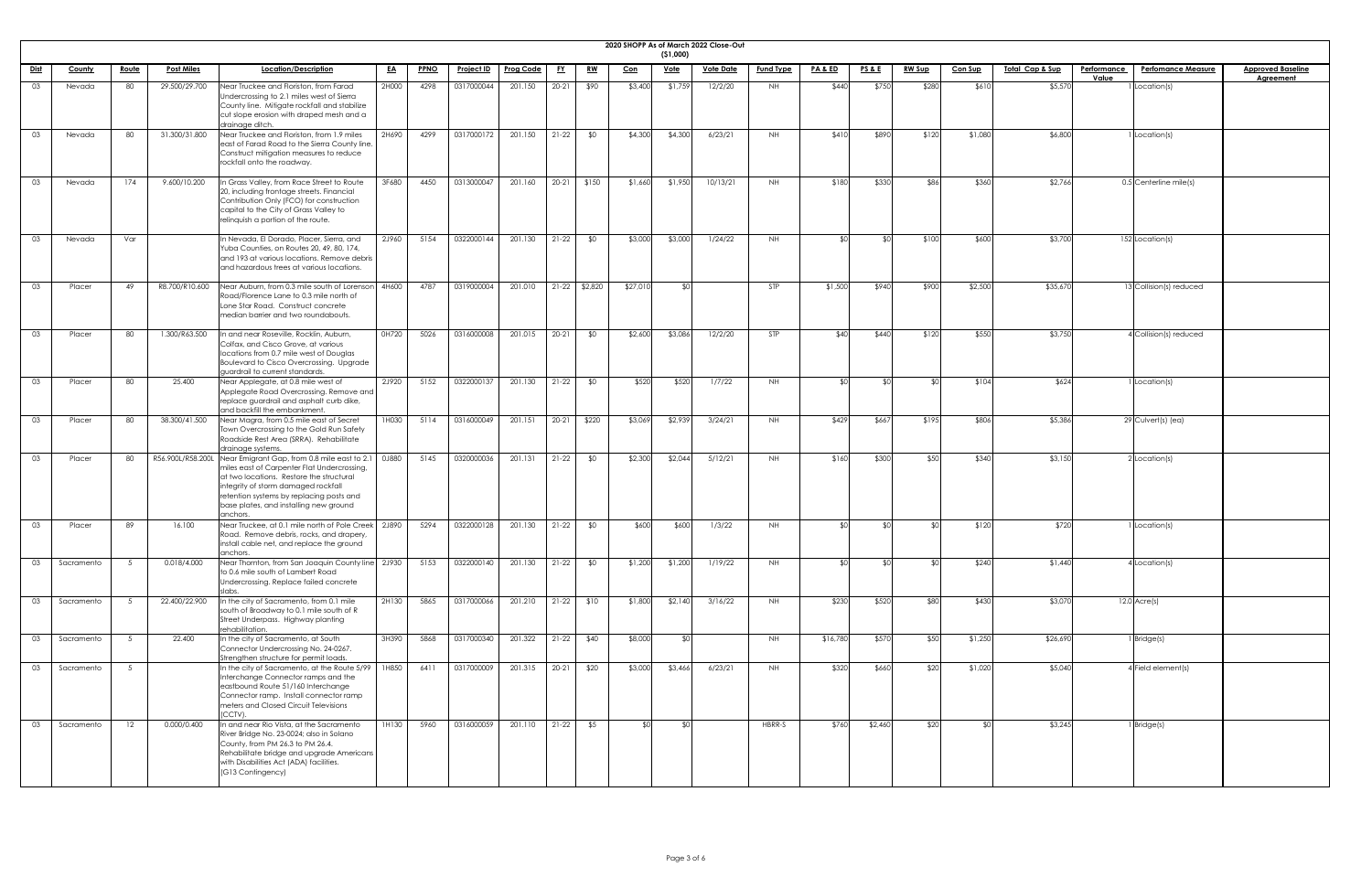| <b>2020 SHOPE</b> |
|-------------------|

|    | 2020 SHOPP As of March 2022 Close-Out<br>(51,000)<br><u>Dist</u><br>Location/Description<br><b>PPNO</b><br><u>RW Sup</u><br><u> Total Cap &amp; Sup</u><br><b>Approved Baseline</b><br><u>Route</u><br><b>Post Miles</b><br><u>EA</u><br>Project ID<br><b>Prog Code</b><br><u>FY</u><br><u>RW</u><br><b>Vote Date</b><br><b>Fund Type</b><br><b>PA &amp; ED</b><br><u>PS&amp;E</u><br><b>Con Sup</b><br><b>Performance</b><br><b>Perfomance Measure</b><br>County<br><u>Con</u><br><u>Vote</u> |     |                   |                                                                                                                                                                                                                                                                                         |       |      |            |         |           |               |                  |         |          |            |          |         |       |         |          |       |                             |                  |
|----|------------------------------------------------------------------------------------------------------------------------------------------------------------------------------------------------------------------------------------------------------------------------------------------------------------------------------------------------------------------------------------------------------------------------------------------------------------------------------------------------|-----|-------------------|-----------------------------------------------------------------------------------------------------------------------------------------------------------------------------------------------------------------------------------------------------------------------------------------|-------|------|------------|---------|-----------|---------------|------------------|---------|----------|------------|----------|---------|-------|---------|----------|-------|-----------------------------|------------------|
|    |                                                                                                                                                                                                                                                                                                                                                                                                                                                                                                |     |                   |                                                                                                                                                                                                                                                                                         |       |      |            |         |           |               |                  |         |          |            |          |         |       |         |          |       |                             |                  |
|    |                                                                                                                                                                                                                                                                                                                                                                                                                                                                                                |     |                   |                                                                                                                                                                                                                                                                                         |       |      |            |         |           |               |                  |         |          |            |          |         |       |         |          | Value |                             | <b>Agreement</b> |
| 03 | Nevada                                                                                                                                                                                                                                                                                                                                                                                                                                                                                         | 80  | 29.500/29.700     | Near Truckee and Floriston, from Farad<br>Undercrossing to 2.1 miles west of Sierra<br>County line. Mitigate rockfall and stabilize<br>cut slope erosion with draped mesh and a<br>drainage ditch.                                                                                      | 2H000 | 4298 | 0317000044 | 201.150 | $20 - 21$ | \$90          | \$3,400          | \$1,759 | 12/2/20  | <b>NH</b>  | \$440    | \$750   | \$280 | \$610   | \$5,570  |       | Location(s)                 |                  |
| 03 | Nevada                                                                                                                                                                                                                                                                                                                                                                                                                                                                                         | 80  | 31.300/31.800     | Near Truckee and Floriston, from 1.9 miles<br>east of Farad Road to the Sierra County line.<br>Construct mitigation measures to reduce<br>rockfall onto the roadway.                                                                                                                    | 2H690 | 4299 | 0317000172 | 201.150 | $21-22$   | \$0           | \$4,300          | \$4,300 | 6/23/21  | NH         | \$410    | \$890   | \$120 | \$1,080 | \$6,800  |       | Location(s)                 |                  |
| 03 | Nevada                                                                                                                                                                                                                                                                                                                                                                                                                                                                                         | 174 | 9.600/10.200      | In Grass Valley, from Race Street to Route<br>20, including frontage streets. Financial<br>Contribution Only (FCO) for construction<br>capital to the City of Grass Valley to<br>relinquish a portion of the route.                                                                     | 3F680 | 4450 | 0313000047 | 201.160 | $20 - 21$ | \$150         | \$1,660          | \$1,950 | 10/13/21 | <b>NH</b>  | \$180    | \$330   | \$86  | \$360   | \$2,766  |       | 0.5 Centerline mile(s)      |                  |
| 03 | Nevada                                                                                                                                                                                                                                                                                                                                                                                                                                                                                         | Var |                   | In Nevada, El Dorado, Placer, Sierra, and<br>Yuba Counties, on Routes 20, 49, 80, 174,<br>and 193 at various locations. Remove debris<br>and hazardous trees at various locations.                                                                                                      | 2J960 | 5154 | 0322000144 | 201.130 | $21-22$   | \$0           | \$3,000          | \$3,000 | 1/24/22  | <b>NH</b>  |          |         | \$100 | \$600   | \$3,700  |       | 152 Location(s)             |                  |
| 03 | Placer                                                                                                                                                                                                                                                                                                                                                                                                                                                                                         | 49  | R8.700/R10.600    | Near Auburn, from 0.3 mile south of Lorenson 4H600<br>Road/Florence Lane to 0.3 mile north of<br>Lone Star Road. Construct concrete<br>median barrier and two roundabouts.                                                                                                              |       | 4787 | 0319000004 | 201.010 |           | 21-22 \$2,820 | \$27,010         |         |          | <b>STP</b> | \$1,500  | \$940   | \$900 | \$2,500 | \$35,670 |       | 13 Collision(s) reduced     |                  |
| 03 | Placer                                                                                                                                                                                                                                                                                                                                                                                                                                                                                         | 80  | 1.300/R63.500     | In and near Roseville, Rocklin, Auburn,<br>Colfax, and Cisco Grove, at various<br>locations from 0.7 mile west of Douglas<br>Boulevard to Cisco Overcrossing. Upgrade<br>quardrail to current standards.                                                                                | 0H720 | 5026 | 0316000008 | 201.015 | $20 - 21$ | \$0           | \$2,600          | \$3,086 | 12/2/20  | STP        | \$40     | \$440   | \$120 | \$550   | \$3,750  |       | <b>Collision(s)</b> reduced |                  |
| 03 | Placer                                                                                                                                                                                                                                                                                                                                                                                                                                                                                         | 80  | 25.400            | Near Applegate, at 0.8 mile west of<br>Applegate Road Overcrossing. Remove and<br>replace guardrail and asphalt curb dike,<br>and backfill the embankment.                                                                                                                              | 2J920 | 5152 | 0322000137 | 201.130 | $21-22$   | \$0           | \$520            | \$520   | 1/7/22   | <b>NH</b>  |          | ¢٢      |       | \$104   | \$624    |       | Location(s)                 |                  |
| 03 | Placer                                                                                                                                                                                                                                                                                                                                                                                                                                                                                         | 80  | 38.300/41.500     | Near Magra, from 0.5 mile east of Secret<br>Town Overcrossing to the Gold Run Safety<br>Roadside Rest Area (SRRA). Rehabilitate<br>drainage systems.                                                                                                                                    | 1H030 | 5114 | 0316000049 | 201.151 | $20 - 21$ | \$220         | \$3,069          | \$2,939 | 3/24/21  | <b>NH</b>  | \$429    | \$667   | \$195 | \$806   | \$5,386  |       | 29 Culvert(s) (ea)          |                  |
| 03 | Placer                                                                                                                                                                                                                                                                                                                                                                                                                                                                                         | 80  | R56.900L/R58.200L | Near Emigrant Gap, from 0.8 mile east to 2.1 0J880<br>miles east of Carpenter Flat Undercrossing,<br>at two locations. Restore the structural<br>integrity of storm damaged rockfall<br>retention systems by replacing posts and<br>base plates, and installing new ground<br>lanchors. |       | 5145 | 0320000036 | 201.131 | $21-22$   | \$0           | \$2,300          | \$2,044 | 5/12/21  | <b>NH</b>  | \$160    | \$300   | \$50  | \$340   | \$3,150  |       | Location(s)                 |                  |
| 03 | Placer                                                                                                                                                                                                                                                                                                                                                                                                                                                                                         | 89  | 16.100            | Near Truckee, at 0.1 mile north of Pole Creek   2J890<br>Road. Remove debris, rocks, and drapery,<br>install cable net, and replace the ground<br>anchors.                                                                                                                              |       | 5294 | 0322000128 | 201.130 | $21-22$   | \$0           | \$600            | \$600   | 1/3/22   | <b>NH</b>  |          |         |       | \$120   | \$720    |       | Location(s)                 |                  |
| 03 | Sacramento                                                                                                                                                                                                                                                                                                                                                                                                                                                                                     |     | 0.018/4.000       | Near Thornton, from San Joaquin County line   2J930<br>to 0.6 mile south of Lambert Road<br>Undercrossing. Replace failed concrete                                                                                                                                                      |       | 5153 | 0322000140 | 201.130 | $21-22$   | \$0           | \$1,200          | \$1,200 | 1/19/22  | <b>NH</b>  |          |         |       | \$240   | \$1,440  |       | Location(s)                 |                  |
| 03 | Sacramento                                                                                                                                                                                                                                                                                                                                                                                                                                                                                     |     | 22.400/22.900     | In the city of Sacramento, from 0.1 mile<br>south of Broadway to 0.1 mile south of R<br>Street Underpass. Highway planting<br>rehabilitation.                                                                                                                                           | 2H130 | 5865 | 0317000066 | 201.210 | $21-22$   | \$10          | \$1,800          | \$2,140 | 3/16/22  | NH         | \$230    | \$520   | \$80  | \$430   | \$3,070  |       | $12.0$ Acre(s)              |                  |
| 03 | Sacramento                                                                                                                                                                                                                                                                                                                                                                                                                                                                                     | - 5 | 22.400            | In the city of Sacramento, at South<br>Connector Undercrossing No. 24-0267.<br>Strengthen structure for permit loads.                                                                                                                                                                   | 3H390 | 5868 | 0317000340 | 201.322 | $21-22$   | \$40          | \$8,000          |         |          | NH         | \$16,780 | \$570   | \$50  | \$1,250 | \$26,690 |       | Bridge(s)                   |                  |
| 03 | Sacramento                                                                                                                                                                                                                                                                                                                                                                                                                                                                                     |     |                   | In the city of Sacramento, at the Route 5/99<br>Interchange Connector ramps and the<br>eastbound Route 51/160 Interchange<br>Connector ramp. Install connector ramp<br>meters and Closed Circuit Televisions<br>(CCTV).                                                                 | 1H850 | 6411 | 0317000009 | 201.315 | $20 - 21$ | \$20          | \$3,000          | \$3,466 | 6/23/21  | NH         | \$320    | \$660   | \$20  | \$1,020 | \$5,040  |       | Field element(s)            |                  |
| 03 | Sacramento                                                                                                                                                                                                                                                                                                                                                                                                                                                                                     | 12  | 0.000/0.400       | In and near Rio Vista, at the Sacramento<br>River Bridge No. 23-0024; also in Solano<br>County, from PM 26.3 to PM 26.4.<br>Rehabilitate bridge and upgrade Americans<br>with Disabilities Act (ADA) facilities.<br>(G13 Contingency)                                                   | 1H130 | 5960 | 0316000059 | 201.110 |           | $21-22$ \$5   | \$0 <sub>l</sub> |         |          | HBRR-S     | \$760    | \$2,460 | \$20  |         | \$3,245  |       | Bridge(s)                   |                  |

| <u>eline</u><br>$\frac{1}{1}$ |  |
|-------------------------------|--|
|                               |  |
|                               |  |
|                               |  |
|                               |  |
|                               |  |
|                               |  |
|                               |  |
|                               |  |
|                               |  |
|                               |  |
|                               |  |
|                               |  |
|                               |  |
|                               |  |
|                               |  |
|                               |  |
|                               |  |
|                               |  |
|                               |  |
|                               |  |
|                               |  |
|                               |  |
|                               |  |
|                               |  |
|                               |  |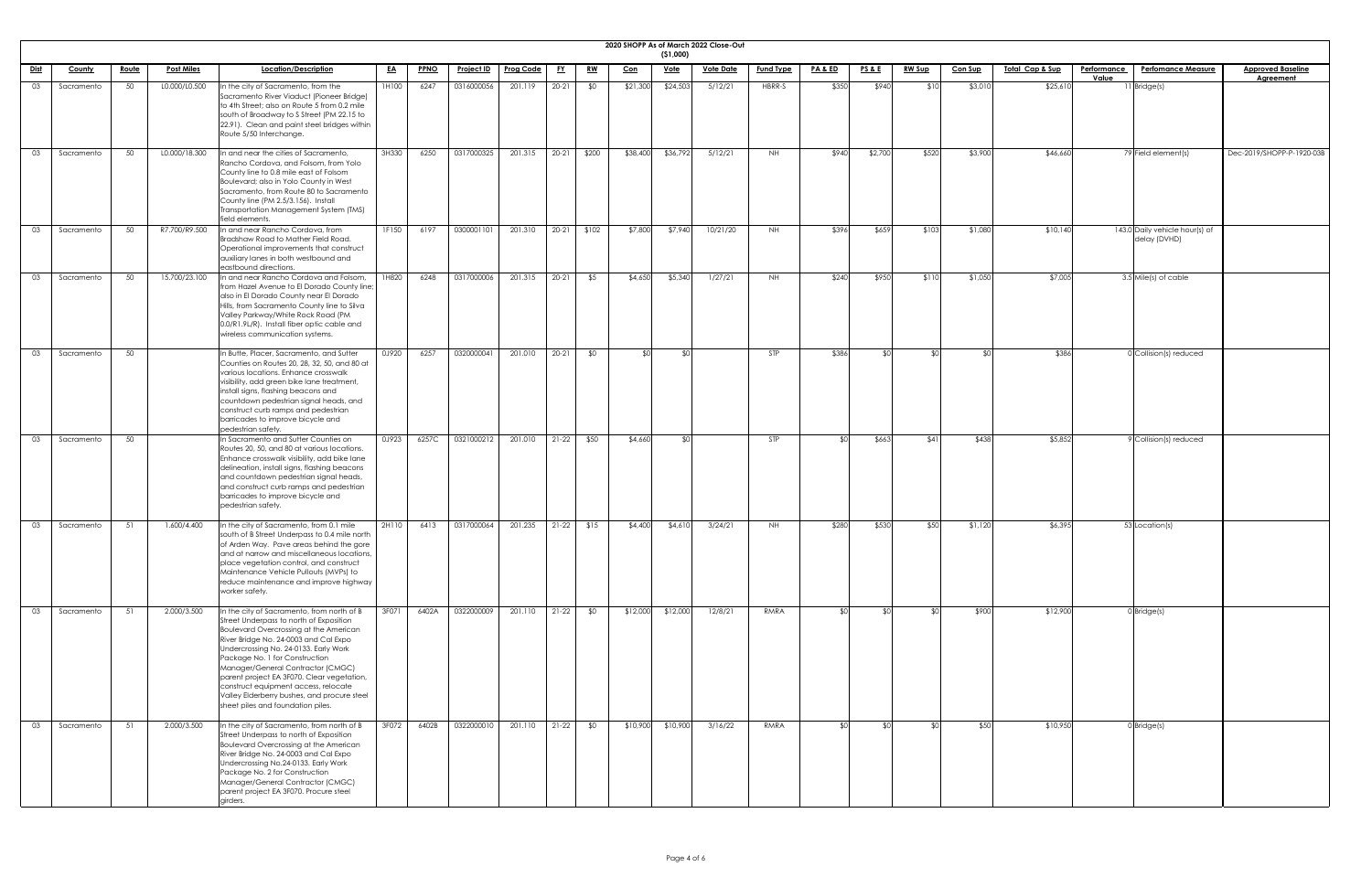|    | 2020 SHOPP As of March 2022 Close-Out<br>( \$1,000)<br>Location/Description<br>PA & ED<br><u> Total Cap &amp; Sup</u><br><b>Perfomance Measure</b><br><b>Approved Baseline</b><br><u>Route</u><br><b>Post Miles</b><br><b>PPNO</b><br><b>Project ID</b><br><b>Prog Code</b><br><u>Vote</u><br><u>Vote Date</u><br><b>Fund Type</b><br><b>PS&amp;E</b><br><u>RW Sup</u><br><b>Con Sup</b><br><b>Performance</b><br><u>Dist</u><br><b>County</b><br><u>EA</u><br><u>FY</u><br><u>RW</u><br><u>Con</u> |    |               |                                                                                                                                                                                                                                                                                                                                                                                                                                                                    |       |       |            |         |           |       |          |          |          |            |       |         |       |         |          |                                                |                           |
|----|-----------------------------------------------------------------------------------------------------------------------------------------------------------------------------------------------------------------------------------------------------------------------------------------------------------------------------------------------------------------------------------------------------------------------------------------------------------------------------------------------------|----|---------------|--------------------------------------------------------------------------------------------------------------------------------------------------------------------------------------------------------------------------------------------------------------------------------------------------------------------------------------------------------------------------------------------------------------------------------------------------------------------|-------|-------|------------|---------|-----------|-------|----------|----------|----------|------------|-------|---------|-------|---------|----------|------------------------------------------------|---------------------------|
|    |                                                                                                                                                                                                                                                                                                                                                                                                                                                                                                     |    |               |                                                                                                                                                                                                                                                                                                                                                                                                                                                                    |       |       |            |         |           |       |          |          |          |            |       |         |       |         |          |                                                |                           |
|    |                                                                                                                                                                                                                                                                                                                                                                                                                                                                                                     |    |               |                                                                                                                                                                                                                                                                                                                                                                                                                                                                    |       |       |            |         |           |       |          |          |          |            |       |         |       |         | Value    |                                                | <b>Agreement</b>          |
| 03 | Sacramento                                                                                                                                                                                                                                                                                                                                                                                                                                                                                          | 50 | L0.000/L0.500 | In the city of Sacramento, from the<br>Sacramento River Viaduct (Pioneer Bridge)<br>to 4th Street; also on Route 5 from 0.2 mile<br>south of Broadway to S Street (PM 22.15 to<br>[22.91]. Clean and paint steel bridges within<br>Route 5/50 Interchange.                                                                                                                                                                                                         | 1H100 | 6247  | 0316000056 | 201.119 | $20 - 21$ | \$0   | \$21,300 | \$24,503 | 5/12/21  | HBRR-S     | \$350 | \$940   | \$10  | \$3,010 | \$25,610 | $11$ <i>Bridge(s)</i>                          |                           |
| 03 | Sacramento                                                                                                                                                                                                                                                                                                                                                                                                                                                                                          | 50 | L0.000/18.300 | In and near the cities of Sacramento,<br>Rancho Cordova, and Folsom, from Yolo<br>County line to 0.8 mile east of Folsom<br>Boulevard; also in Yolo County in West<br>Sacramento, from Route 80 to Sacramento<br>County line (PM 2.5/3.156). Install<br>Transportation Management System (TMS)<br>field elements.                                                                                                                                                  | 3H330 | 6250  | 0317000325 | 201.315 | $20 - 21$ | \$200 | \$38,400 | \$36,792 | 5/12/21  | <b>NH</b>  | \$940 | \$2,700 | \$520 | \$3,900 | \$46,660 | 79 Field element(s)                            | Dec-2019/SHOPP-P-1920-03B |
| 03 | Sacramento                                                                                                                                                                                                                                                                                                                                                                                                                                                                                          | 50 | R7.700/R9.500 | In and near Rancho Cordova, from<br>Bradshaw Road to Mather Field Road.<br>Operational improvements that construct<br>auxiliary lanes in both westbound and<br>eastbound directions.                                                                                                                                                                                                                                                                               | 1F150 | 6197  | 0300001101 | 201.310 | $20 - 21$ | \$102 | \$7,800  | \$7,940  | 10/21/20 | <b>NH</b>  | \$396 | \$659   | \$103 | \$1,080 | \$10,140 | 143.0 Daily vehicle hour(s) of<br>delay (DVHD) |                           |
| 03 | Sacramento                                                                                                                                                                                                                                                                                                                                                                                                                                                                                          | 50 | 15.700/23.100 | In and near Rancho Cordova and Folsom,<br>from Hazel Avenue to El Dorado County line;<br>also in El Dorado County near El Dorado<br>Hills, from Sacramento County line to Silva<br>Valley Parkway/White Rock Road (PM<br>0.0/R1.9L/R). Install fiber optic cable and<br>wireless communication systems.                                                                                                                                                            | 1H820 | 6248  | 0317000006 | 201.315 | $20 - 21$ | \$5   | \$4,650  | \$5,340  | 1/27/21  | NH         | \$240 | \$950   | \$110 | \$1,050 | \$7,005  | 3.5 Mile(s) of cable                           |                           |
| 03 | Sacramento                                                                                                                                                                                                                                                                                                                                                                                                                                                                                          | 50 |               | In Butte, Placer, Sacramento, and Sutter<br>Counties on Routes 20, 28, 32, 50, and 80 at<br>various locations. Enhance crosswalk<br>visibility, add green bike lane treatment,<br>install signs, flashing beacons and<br>countdown pedestrian signal heads, and<br>construct curb ramps and pedestrian<br>barricades to improve bicycle and<br>pedestrian safety.                                                                                                  | 0J920 | 6257  | 0320000041 | 201.010 | $20 - 21$ | \$0   |          |          |          | <b>STP</b> | \$386 |         | \$0   |         | \$386    | $0$ Collision(s) reduced                       |                           |
| 03 | Sacramento                                                                                                                                                                                                                                                                                                                                                                                                                                                                                          | 50 |               | In Sacramento and Sutter Counties on<br>Routes 20, 50, and 80 at various locations.<br>Enhance crosswalk visibility, add bike lane<br>delineation, install signs, flashing beacons<br>and countdown pedestrian signal heads,<br>and construct curb ramps and pedestrian<br>barricades to improve bicycle and<br>pedestrian safety.                                                                                                                                 | 0J923 | 6257C | 0321000212 | 201.010 | $21 - 22$ | \$50  | \$4,660  |          |          | <b>STP</b> |       | \$663   | \$41  | \$438   | \$5,852  | 9 Collision(s) reduced                         |                           |
| 03 | Sacramento                                                                                                                                                                                                                                                                                                                                                                                                                                                                                          | 51 | 1.600/4.400   | In the city of Sacramento, from 0.1 mile<br>south of B Street Underpass to 0.4 mile north<br>of Arden Way. Pave areas behind the gore<br>and at narrow and miscellaneous locations,<br>place vegetation control, and construct<br>Maintenance Vehicle Pullouts (MVPs) to<br>reduce maintenance and improve highway<br>worker safety.                                                                                                                               | 2H110 | 6413  | 0317000064 | 201.235 | $21-22$   | \$15  | \$4,400  | \$4,610  | 3/24/21  | NH .       | \$280 | \$530   | \$50  | \$1,120 | \$6,395  | 53 Location(s)                                 |                           |
| 03 | Sacramento                                                                                                                                                                                                                                                                                                                                                                                                                                                                                          | 51 | 2.000/3.500   | In the city of Sacramento, from north of B<br>Street Underpass to north of Exposition<br>Boulevard Overcrossing at the American<br>River Bridge No. 24-0003 and Cal Expo<br>Undercrossing No. 24-0133. Early Work<br>Package No. 1 for Construction<br>Manager/General Contractor (CMGC)<br>parent project EA 3F070. Clear vegetation,<br>construct equipment access, relocate<br>Valley Elderberry bushes, and procure steel<br>sheet piles and foundation piles. | 3F071 | 6402A | 0322000009 | 201.110 | $21-22$   | \$0   | \$12,000 | \$12,000 | 12/8/21  | RMRA       |       |         | ዳበ    | \$900   | \$12,900 | $0$ Bridge $(s)$                               |                           |
| 03 | Sacramento                                                                                                                                                                                                                                                                                                                                                                                                                                                                                          | 51 | 2.000/3.500   | In the city of Sacramento, from north of B<br>Street Underpass to north of Exposition<br>Boulevard Overcrossing at the American<br>River Bridge No. 24-0003 and Cal Expo<br>Undercrossing No.24-0133. Early Work<br>Package No. 2 for Construction<br>Manager/General Contractor (CMGC)<br>parent project EA 3F070. Procure steel<br>girders.                                                                                                                      | 3F072 | 6402B | 0322000010 | 201.110 | $21-22$   | \$0   | \$10,900 | \$10,900 | 3/16/22  | RMRA       |       |         | .sol  | \$50    | \$10,950 | $0$ Bridge(s)                                  |                           |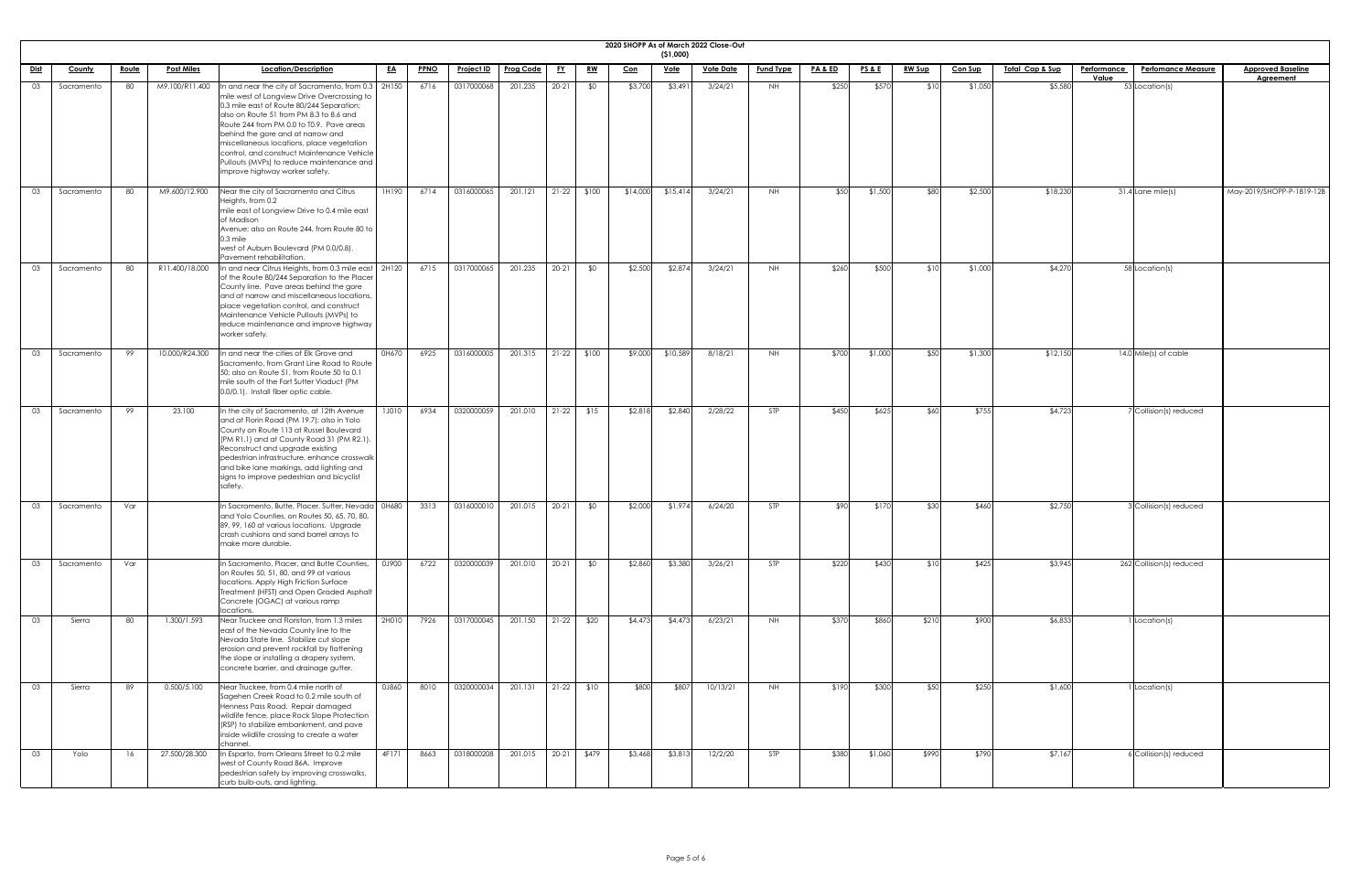|             | 2020 SHOPP As of March 2022 Close-Out<br>( \$1,000)<br><b>Post Miles</b><br>Location/Description<br><b>PA &amp; ED</b><br><u>Total Cap &amp; Sup</u><br><b>Performance</b><br><b>Approved Baseline</b><br><u>PPNO</u><br><u>Project ID</u><br><b>Prog Code</b><br><u>Vote</u><br><u>Vote Date</u><br><b>Fund Type</b><br><u>PS &amp; E</u><br><u>RW Sup</u><br><b>Con Sup</b><br><b>Perfomance Measure</b><br><u>Route</u><br><b>County</b> |     |                |                                                                                                                                                                                                                                                                                                                                                                                                                                                           |              |      |            |         |           |           |            |          |          |            |       |         |       |         |          |       |                          |                           |
|-------------|---------------------------------------------------------------------------------------------------------------------------------------------------------------------------------------------------------------------------------------------------------------------------------------------------------------------------------------------------------------------------------------------------------------------------------------------|-----|----------------|-----------------------------------------------------------------------------------------------------------------------------------------------------------------------------------------------------------------------------------------------------------------------------------------------------------------------------------------------------------------------------------------------------------------------------------------------------------|--------------|------|------------|---------|-----------|-----------|------------|----------|----------|------------|-------|---------|-------|---------|----------|-------|--------------------------|---------------------------|
|             |                                                                                                                                                                                                                                                                                                                                                                                                                                             |     |                |                                                                                                                                                                                                                                                                                                                                                                                                                                                           |              |      |            |         |           |           |            |          |          |            |       |         |       |         |          |       |                          |                           |
| <u>Dist</u> |                                                                                                                                                                                                                                                                                                                                                                                                                                             |     |                |                                                                                                                                                                                                                                                                                                                                                                                                                                                           | <u>EA</u>    |      |            |         | <u>FY</u> | <u>RW</u> | <u>Con</u> |          |          |            |       |         |       |         |          | Value |                          | <b>Agreement</b>          |
| 03          | Sacramento                                                                                                                                                                                                                                                                                                                                                                                                                                  | 80  | M9.100/R11.400 | In and near the city of Sacramento, from $0.3$   2H150<br>mile west of Longview Drive Overcrossing to<br>0.3 mile east of Route 80/244 Separation;<br>also on Route 51 from PM 8.3 to 8.6 and<br>Route 244 from PM 0.0 to T0.9. Pave areas<br>behind the gore and at narrow and<br>miscellaneous locations, place vegetation<br>control, and construct Maintenance Vehicle<br>Pullouts (MVPs) to reduce maintenance and<br>improve highway worker safety. |              | 6716 | 0317000068 | 201.235 | $20 - 21$ | \$0       | \$3,700    | \$3,491  | 3/24/21  | NH I       | \$250 | \$570   | \$10  | \$1,050 | \$5,580  |       | 53 Location(s)           |                           |
| 03          | Sacramento                                                                                                                                                                                                                                                                                                                                                                                                                                  | 80  | M9.600/12.900  | Near the city of Sacramento and Citrus<br>Heights, from 0.2<br>mile east of Longview Drive to 0.4 mile east<br>of Madison<br>Avenue; also on Route 244, from Route 80 to<br>$0.3$ mile<br>west of Auburn Boulevard (PM 0.0/0.8).<br>Pavement rehabilitation.                                                                                                                                                                                              | 1H190        | 6714 | 0316000065 | 201.121 | $21-22$   | \$100     | \$14,000   | \$15,414 | 3/24/21  | NH .       | \$50  | \$1,500 | \$80  | \$2,500 | \$18,230 |       | $31.4$ Lane mile(s)      | May-2019/SHOPP-P-1819-12B |
| 03          | Sacramento                                                                                                                                                                                                                                                                                                                                                                                                                                  | 80  | R11.400/18.000 | In and near Citrus Heights, from 0.3 mile east   2H120<br>of the Route 80/244 Separation to the Placer<br>County line. Pave areas behind the gore<br>and at narrow and miscellaneous locations,<br>place vegetation control, and construct<br>Maintenance Vehicle Pullouts (MVPs) to<br>reduce maintenance and improve highway<br>worker safety.                                                                                                          |              | 6715 | 0317000065 | 201.235 | $20-21$   | \$0       | \$2,500    | \$2,874  | 3/24/21  | NH I       | \$260 | \$500   | \$10  | \$1,000 | \$4,270  |       | 58 Location(s)           |                           |
| 03          | Sacramento                                                                                                                                                                                                                                                                                                                                                                                                                                  | 99  |                | 10.000/R24.300  In and near the cities of Elk Grove and<br>Sacramento, from Grant Line Road to Route<br>50; also on Route 51, from Route 50 to 0.1<br>mile south of the Fort Sutter Viaduct (PM<br>0.0/0.1). Install fiber optic cable.                                                                                                                                                                                                                   | 0H670        | 6925 | 0316000005 | 201.315 | $21-22$   | \$100     | \$9,000    | \$10,589 | 8/18/21  | NH .       | \$700 | \$1,000 | \$50  | \$1,300 | \$12,150 |       | 14.0 Mile(s) of cable    |                           |
| 03          | Sacramento                                                                                                                                                                                                                                                                                                                                                                                                                                  | 99  | 23.100         | In the city of Sacramento, at 12th Avenue<br>and at Florin Road (PM 19.7); also in Yolo<br>County on Route 113 at Russel Boulevard<br>(PM R1.1) and at County Road 31 (PM R2.1).<br>Reconstruct and upgrade existing<br>pedestrian infrastructure, enhance crosswalk<br>and bike lane markings, add lighting and<br>signs to improve pedestrian and bicyclist<br>safety.                                                                                  | <b>1J010</b> | 6934 | 0320000059 | 201.010 | $21-22$   | \$15      | \$2,818    | \$2,840  | 2/28/22  | <b>STP</b> | \$450 | \$625   | \$60  | \$755   | \$4,723  |       | 7 Collision(s) reduced   |                           |
| 03          | Sacramento                                                                                                                                                                                                                                                                                                                                                                                                                                  | Var |                | In Sacramento, Butte, Placer, Sutter, Nevada   0H680<br>and Yolo Counties, on Routes 50, 65, 70, 80,<br>89, 99, 160 at various locations. Upgrade<br>crash cushions and sand barrel arrays to<br>make more durable.                                                                                                                                                                                                                                       |              | 3313 | 0316000010 | 201.015 | $20 - 21$ | \$0       | \$2,000    | \$1,974  | 6/24/20  | STP        | \$90  | \$170   | \$30  | \$460   | \$2,750  |       | 3 Collision(s) reduced   |                           |
| 03          | Sacramento                                                                                                                                                                                                                                                                                                                                                                                                                                  | Var |                | In Sacramento, Placer, and Butte Counties,<br>on Routes 50, 51, 80, and 99 at various<br>locations. Apply High Friction Surface<br>Treatment (HFST) and Open Graded Asphalt<br>Concrete (OGAC) at various ramp<br>locations.                                                                                                                                                                                                                              | 0J900        | 6722 | 0320000039 | 201.010 | $20-21$   | \$0       | \$2,860    | \$3,380  | 3/26/21  | STP        | \$220 | \$430   | \$10  | \$425   | \$3,945  |       | 262 Collision(s) reduced |                           |
| 03          | Sierra                                                                                                                                                                                                                                                                                                                                                                                                                                      | 80  | 1.300/1.593    | Near Truckee and Floriston, from 1.3 miles<br>east of the Nevada County line to the<br>Nevada State line. Stabilize cut slope<br>erosion and prevent rockfall by flattening<br>the slope or installing a drapery system,<br>concrete barrier, and drainage gutter.                                                                                                                                                                                        | 2H010        | 7926 | 0317000045 | 201.150 | $21-22$   | \$20      | \$4,473    | \$4,473  | 6/23/21  | <b>NH</b>  | \$370 | \$860   | \$210 | \$900   | \$6,833  |       | Location(s)              |                           |
| 03          | Sierra                                                                                                                                                                                                                                                                                                                                                                                                                                      | 89  | 0.500/5.100    | Near Truckee, from 0.4 mile north of<br>Sagehen Creek Road to 0.2 mile south of<br>Henness Pass Road. Repair damaged<br>wildlife fence, place Rock Slope Protection<br>(RSP) to stabilize embankment, and pave<br>inside wildlife crossing to create a water<br>channel.                                                                                                                                                                                  | 0J860        | 8010 | 0320000034 | 201.131 | $21-22$   | \$10      | \$800      | \$807    | 10/13/21 | <b>NH</b>  | \$190 | \$300   | \$50  | \$250   | \$1,600  |       | 1 Location(s)            |                           |
| 03          | Yolo                                                                                                                                                                                                                                                                                                                                                                                                                                        | 16  | 27.500/28.300  | In Esparto, from Orleans Street to 0.2 mile<br>west of County Road 86A. Improve<br>pedestrian safety by improving crosswalks,<br>curb bulb-outs, and lighting.                                                                                                                                                                                                                                                                                            | 4F171        | 8663 | 0318000208 | 201.015 | $20-21$   | \$479     | \$3,468    | \$3,813  | 12/2/20  | <b>STP</b> | \$380 | \$1,060 | \$990 | \$790   | \$7,167  |       | 6 Collision(s) reduced   |                           |